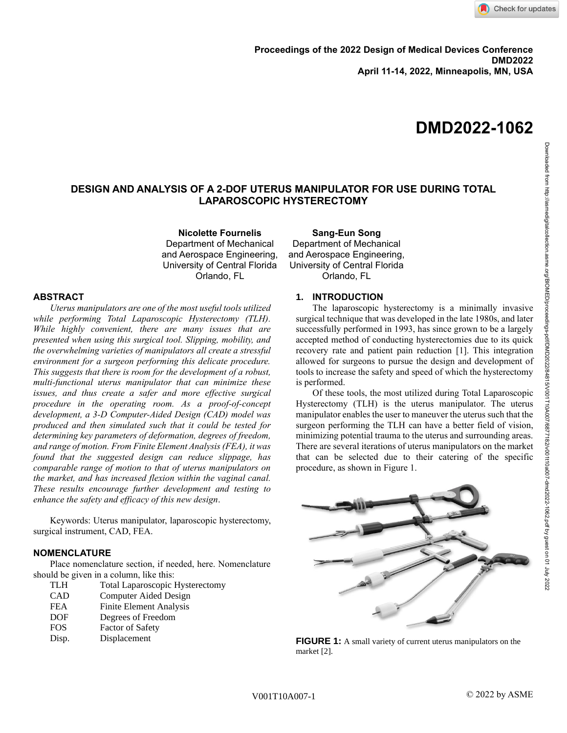# **DMD2022-1062**

# **DESIGN AND ANALYSIS OF A 2-DOF UTERUS MANIPULATOR FOR USE DURING TOTAL LAPAROSCOPIC HYSTERECTOMY**

**Nicolette Fournelis** Department of Mechanical and Aerospace Engineering, University of Central Florida Orlando, FL

# **ABSTRACT**

*Uterus manipulators are one of the most useful tools utilized while performing Total Laparoscopic Hysterectomy (TLH). While highly convenient, there are many issues that are presented when using this surgical tool. Slipping, mobility, and the overwhelming varieties of manipulators all create a stressful environment for a surgeon performing this delicate procedure. This suggests that there is room for the development of a robust, multi-functional uterus manipulator that can minimize these issues, and thus create a safer and more effective surgical procedure in the operating room. As a proof-of-concept development, a 3-D Computer-Aided Design (CAD) model was produced and then simulated such that it could be tested for determining key parameters of deformation, degrees of freedom, and range of motion. From Finite Element Analysis (FEA), it was found that the suggested design can reduce slippage, has comparable range of motion to that of uterus manipulators on the market, and has increased flexion within the vaginal canal. These results encourage further development and testing to enhance the safety and efficacy of this new design*.

Keywords: Uterus manipulator, laparoscopic hysterectomy, surgical instrument, CAD, FEA.

### **NOMENCLATURE**

Place nomenclature section, if needed, here. Nomenclature should be given in a column, like this:

- TLH Total Laparoscopic Hysterectomy
- CAD Computer Aided Design FEA Finite Element Analysis DOF Degrees of Freedom
- FOS Factor of Safety
- Disp. Displacement

# **Sang-Eun Song** Department of Mechanical and Aerospace Engineering, University of Central Florida Orlando, FL

# **1. INTRODUCTION**

The laparoscopic hysterectomy is a minimally invasive surgical technique that was developed in the late 1980s, and later successfully performed in 1993, has since grown to be a largely accepted method of conducting hysterectomies due to its quick recovery rate and patient pain reduction [1]. This integration allowed for surgeons to pursue the design and development of tools to increase the safety and speed of which the hysterectomy is performed.

Of these tools, the most utilized during Total Laparoscopic Hysterectomy (TLH) is the uterus manipulator. The uterus manipulator enables the user to maneuver the uterus such that the surgeon performing the TLH can have a better field of vision, minimizing potential trauma to the uterus and surrounding areas. There are several iterations of uterus manipulators on the market that can be selected due to their catering of the specific procedure, as shown in Figure 1.



**FIGURE 1:** A small variety of current uterus manipulators on the market [2].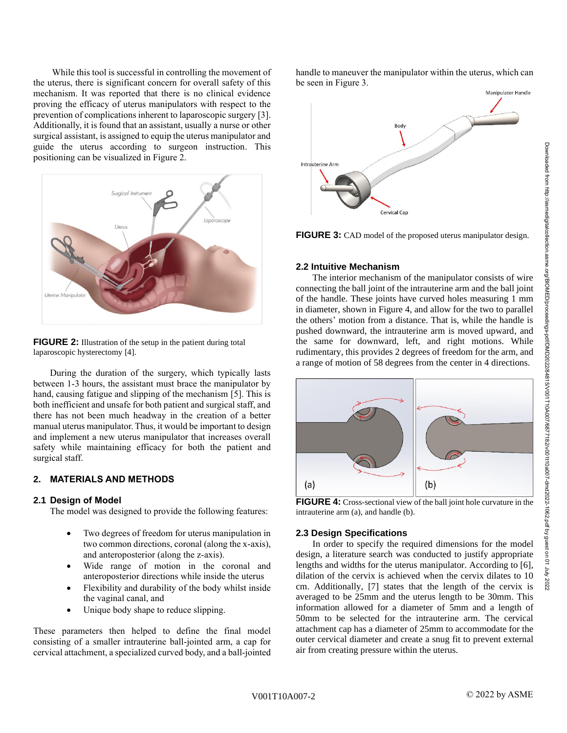Downloaded from http://asmedigitalcollection.asme.org/BlOMED/proceedings-pdf/DMD/2022022/64715/V001110a007-dmd2022-1062.pdf by guest on 01 July 2022<br>Downloaded from http://asmedigitalcollection.asme.org/BlOMED/Proceedings-Downloaded from http://asmedigitalcollection.asme.org/BIOMED/proceedings-pdf/DMD2022/84815/V001T10A007/6877182/v001t10a007-dmd2022-1062.pdf by guest on 01 July 2022

While this tool is successful in controlling the movement of the uterus, there is significant concern for overall safety of this mechanism. It was reported that there is no clinical evidence proving the efficacy of uterus manipulators with respect to the prevention of complications inherent to laparoscopic surgery [3]. Additionally, it is found that an assistant, usually a nurse or other surgical assistant, is assigned to equip the uterus manipulator and guide the uterus according to surgeon instruction. This positioning can be visualized in Figure 2.



**FIGURE 2:** Illustration of the setup in the patient during total laparoscopic hysterectomy [4].

During the duration of the surgery, which typically lasts between 1-3 hours, the assistant must brace the manipulator by hand, causing fatigue and slipping of the mechanism [5]. This is both inefficient and unsafe for both patient and surgical staff, and there has not been much headway in the creation of a better manual uterus manipulator. Thus, it would be important to design and implement a new uterus manipulator that increases overall safety while maintaining efficacy for both the patient and surgical staff.

# **2. MATERIALS AND METHODS**

### **2.1 Design of Model**

The model was designed to provide the following features:

- Two degrees of freedom for uterus manipulation in two common directions, coronal (along the x-axis), and anteroposterior (along the z-axis).
- Wide range of motion in the coronal and anteroposterior directions while inside the uterus
- Flexibility and durability of the body whilst inside the vaginal canal, and
- Unique body shape to reduce slipping.

These parameters then helped to define the final model consisting of a smaller intrauterine ball-jointed arm, a cap for cervical attachment, a specialized curved body, and a ball-jointed handle to maneuver the manipulator within the uterus, which can be seen in Figure 3.



**FIGURE 3:** CAD model of the proposed uterus manipulator design.

## **2.2 Intuitive Mechanism**

The interior mechanism of the manipulator consists of wire connecting the ball joint of the intrauterine arm and the ball joint of the handle. These joints have curved holes measuring 1 mm in diameter, shown in Figure 4, and allow for the two to parallel the others' motion from a distance. That is, while the handle is pushed downward, the intrauterine arm is moved upward, and the same for downward, left, and right motions. While rudimentary, this provides 2 degrees of freedom for the arm, and a range of motion of 58 degrees from the center in 4 directions.



**FIGURE 4:** Cross-sectional view of the ball joint hole curvature in the intrauterine arm (a), and handle (b).

## **2.3 Design Specifications**

In order to specify the required dimensions for the model design, a literature search was conducted to justify appropriate lengths and widths for the uterus manipulator. According to [6], dilation of the cervix is achieved when the cervix dilates to 10 cm. Additionally, [7] states that the length of the cervix is averaged to be 25mm and the uterus length to be 30mm. This information allowed for a diameter of 5mm and a length of 50mm to be selected for the intrauterine arm. The cervical attachment cap has a diameter of 25mm to accommodate for the outer cervical diameter and create a snug fit to prevent external air from creating pressure within the uterus.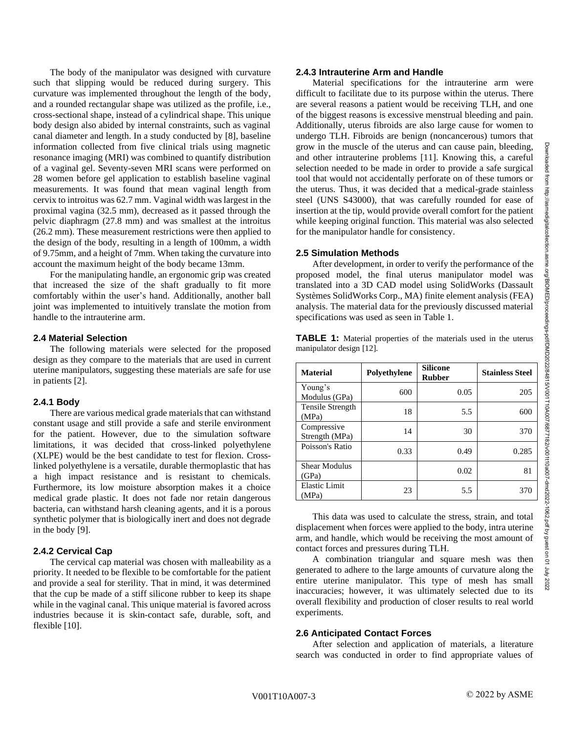The body of the manipulator was designed with curvature such that slipping would be reduced during surgery. This curvature was implemented throughout the length of the body, and a rounded rectangular shape was utilized as the profile, i.e., cross-sectional shape, instead of a cylindrical shape. This unique body design also abided by internal constraints, such as vaginal canal diameter and length. In a study conducted by [8], baseline information collected from five clinical trials using magnetic resonance imaging (MRI) was combined to quantify distribution of a vaginal gel. Seventy-seven MRI scans were performed on 28 women before gel application to establish baseline vaginal measurements. It was found that mean vaginal length from cervix to introitus was 62.7 mm. Vaginal width was largest in the proximal vagina (32.5 mm), decreased as it passed through the pelvic diaphragm (27.8 mm) and was smallest at the introitus (26.2 mm). These measurement restrictions were then applied to the design of the body, resulting in a length of 100mm, a width of 9.75mm, and a height of 7mm. When taking the curvature into account the maximum height of the body became 13mm.

For the manipulating handle, an ergonomic grip was created that increased the size of the shaft gradually to fit more comfortably within the user's hand. Additionally, another ball joint was implemented to intuitively translate the motion from handle to the intrauterine arm.

## **2.4 Material Selection**

The following materials were selected for the proposed design as they compare to the materials that are used in current uterine manipulators, suggesting these materials are safe for use in patients [2].

## **2.4.1 Body**

There are various medical grade materials that can withstand constant usage and still provide a safe and sterile environment for the patient. However, due to the simulation software limitations, it was decided that cross-linked polyethylene (XLPE) would be the best candidate to test for flexion. Crosslinked polyethylene is a versatile, durable thermoplastic that has a high impact resistance and is resistant to chemicals. Furthermore, its low moisture absorption makes it a choice medical grade plastic. It does not fade nor retain dangerous bacteria, can withstand harsh cleaning agents, and it is a porous synthetic polymer that is biologically inert and does not degrade in the body [9].

## **2.4.2 Cervical Cap**

The cervical cap material was chosen with malleability as a priority. It needed to be flexible to be comfortable for the patient and provide a seal for sterility. That in mind, it was determined that the cup be made of a stiff silicone rubber to keep its shape while in the vaginal canal. This unique material is favored across industries because it is skin-contact safe, durable, soft, and flexible [10].

#### **2.4.3 Intrauterine Arm and Handle**

Material specifications for the intrauterine arm were difficult to facilitate due to its purpose within the uterus. There are several reasons a patient would be receiving TLH, and one of the biggest reasons is excessive menstrual bleeding and pain. Additionally, uterus fibroids are also large cause for women to undergo TLH. Fibroids are benign (noncancerous) tumors that grow in the muscle of the uterus and can cause pain, bleeding, and other intrauterine problems [11]. Knowing this, a careful selection needed to be made in order to provide a safe surgical tool that would not accidentally perforate on of these tumors or the uterus. Thus, it was decided that a medical-grade stainless steel (UNS S43000), that was carefully rounded for ease of insertion at the tip, would provide overall comfort for the patient while keeping original function. This material was also selected for the manipulator handle for consistency.

#### **2.5 Simulation Methods**

After development, in order to verify the performance of the proposed model, the final uterus manipulator model was translated into a 3D CAD model using SolidWorks (Dassault Systèmes SolidWorks Corp., MA) finite element analysis (FEA) analysis. The material data for the previously discussed material specifications was used as seen in Table 1.

**TABLE 1:** Material properties of the materials used in the uterus manipulator design [12].

| <b>Material</b>               | Polyethylene | <b>Silicone</b><br><b>Rubber</b> | <b>Stainless Steel</b> |
|-------------------------------|--------------|----------------------------------|------------------------|
| Young's<br>Modulus (GPa)      | 600          | 0.05                             | 205                    |
| Tensile Strength<br>(MPa)     | 18           | 5.5                              | 600                    |
| Compressive<br>Strength (MPa) | 14           | 30                               | 370                    |
| Poisson's Ratio               | 0.33         | 0.49                             | 0.285                  |
| <b>Shear Modulus</b><br>(GPa) |              | 0.02                             | 81                     |
| <b>Elastic Limit</b><br>(MPa) | 23           | 5.5                              | 370                    |

This data was used to calculate the stress, strain, and total displacement when forces were applied to the body, intra uterine arm, and handle, which would be receiving the most amount of contact forces and pressures during TLH.

A combination triangular and square mesh was then generated to adhere to the large amounts of curvature along the entire uterine manipulator. This type of mesh has small inaccuracies; however, it was ultimately selected due to its overall flexibility and production of closer results to real world experiments.

#### **2.6 Anticipated Contact Forces**

After selection and application of materials, a literature search was conducted in order to find appropriate values of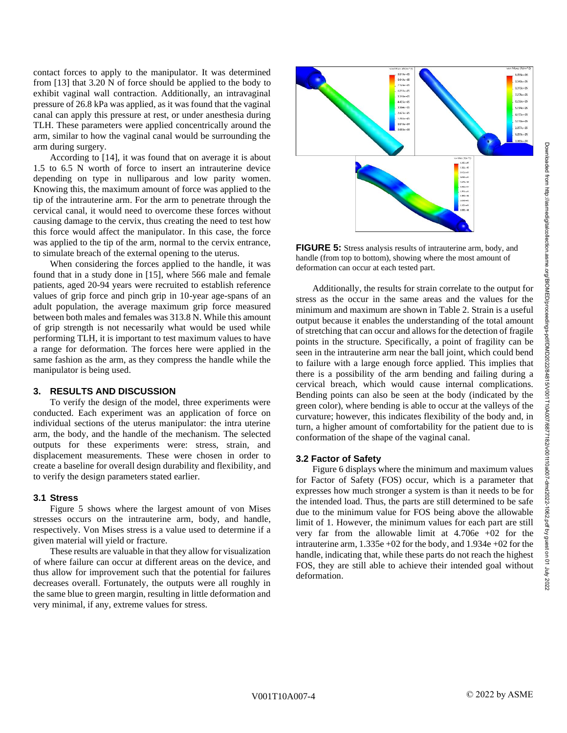Downloaded from http://asmedigitalcollection.asme.org/BIOMED/proceedings-pdf/DMD2022/84815/V001T10A007/6877182/v001t10a007-dmd2022-1062.pdf by guest on 01 July 2022

Downloaded from http://asmedigitalcollection.asme.org/BIOMED/proceedings-pdf/DMD222184315/V0011104007/687718217097-0102-1062.pdf by grest on 01 July 2022

contact forces to apply to the manipulator. It was determined from [13] that 3.20 N of force should be applied to the body to exhibit vaginal wall contraction. Additionally, an intravaginal pressure of 26.8 kPa was applied, as it was found that the vaginal canal can apply this pressure at rest, or under anesthesia during TLH. These parameters were applied concentrically around the arm, similar to how the vaginal canal would be surrounding the arm during surgery.

According to [14], it was found that on average it is about 1.5 to 6.5 N worth of force to insert an intrauterine device depending on type in nulliparous and low parity women. Knowing this, the maximum amount of force was applied to the tip of the intrauterine arm. For the arm to penetrate through the cervical canal, it would need to overcome these forces without causing damage to the cervix, thus creating the need to test how this force would affect the manipulator. In this case, the force was applied to the tip of the arm, normal to the cervix entrance, to simulate breach of the external opening to the uterus.

When considering the forces applied to the handle, it was found that in a study done in [15], where 566 male and female patients, aged 20-94 years were recruited to establish reference values of grip force and pinch grip in 10-year age-spans of an adult population, the average maximum grip force measured between both males and females was 313.8 N. While this amount of grip strength is not necessarily what would be used while performing TLH, it is important to test maximum values to have a range for deformation. The forces here were applied in the same fashion as the arm, as they compress the handle while the manipulator is being used.

# **3. RESULTS AND DISCUSSION**

To verify the design of the model, three experiments were conducted. Each experiment was an application of force on individual sections of the uterus manipulator: the intra uterine arm, the body, and the handle of the mechanism. The selected outputs for these experiments were: stress, strain, and displacement measurements. These were chosen in order to create a baseline for overall design durability and flexibility, and to verify the design parameters stated earlier.

# **3.1 Stress**

Figure 5 shows where the largest amount of von Mises stresses occurs on the intrauterine arm, body, and handle, respectively. Von Mises stress is a value used to determine if a given material will yield or fracture.

These results are valuable in that they allow for visualization of where failure can occur at different areas on the device, and thus allow for improvement such that the potential for failures decreases overall. Fortunately, the outputs were all roughly in the same blue to green margin, resulting in little deformation and very minimal, if any, extreme values for stress.



**FIGURE 5:** Stress analysis results of intrauterine arm, body, and handle (from top to bottom), showing where the most amount of deformation can occur at each tested part.

Additionally, the results for strain correlate to the output for stress as the occur in the same areas and the values for the minimum and maximum are shown in Table 2. Strain is a useful output because it enables the understanding of the total amount of stretching that can occur and allows for the detection of fragile points in the structure. Specifically, a point of fragility can be seen in the intrauterine arm near the ball joint, which could bend to failure with a large enough force applied. This implies that there is a possibility of the arm bending and failing during a cervical breach, which would cause internal complications. Bending points can also be seen at the body (indicated by the green color), where bending is able to occur at the valleys of the curvature; however, this indicates flexibility of the body and, in turn, a higher amount of comfortability for the patient due to is conformation of the shape of the vaginal canal.

#### **3.2 Factor of Safety**

Figure 6 displays where the minimum and maximum values for Factor of Safety (FOS) occur, which is a parameter that expresses how much stronger a system is than it needs to be for the intended load. Thus, the parts are still determined to be safe due to the minimum value for FOS being above the allowable limit of 1. However, the minimum values for each part are still very far from the allowable limit at 4.706e +02 for the intrauterine arm, 1.335e +02 for the body, and 1.934e +02 for the handle, indicating that, while these parts do not reach the highest FOS, they are still able to achieve their intended goal without deformation.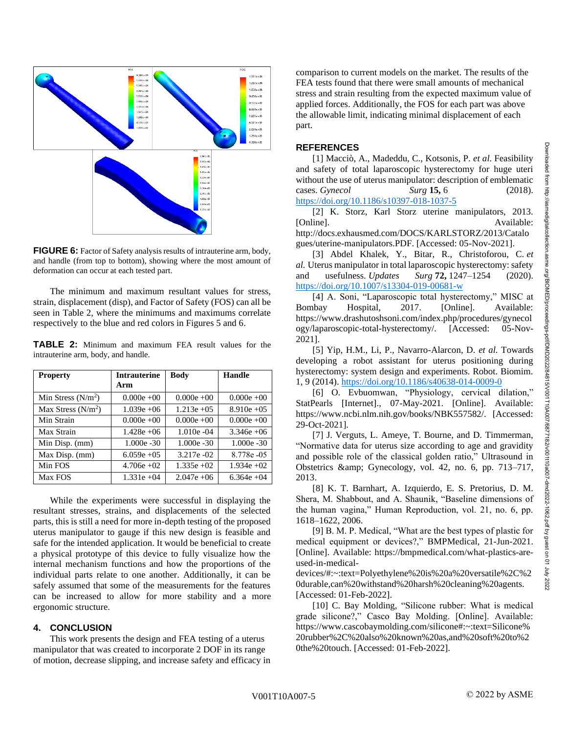

**FIGURE 6:** Factor of Safety analysis results of intrauterine arm, body, and handle (from top to bottom), showing where the most amount of deformation can occur at each tested part.

The minimum and maximum resultant values for stress, strain, displacement (disp), and Factor of Safety (FOS) can all be seen in Table 2, where the minimums and maximums correlate respectively to the blue and red colors in Figures 5 and 6.

**TABLE 2:** Minimum and maximum FEA result values for the intrauterine arm, body, and handle.

| <b>Property</b>     | <b>Intrauterine</b> | <b>Body</b>    | Handle         |
|---------------------|---------------------|----------------|----------------|
|                     | Arm                 |                |                |
| Min Stress $(N/m2)$ | $0.000e +00$        | $0.000e +00$   | $0.000e +00$   |
| Max Stress $(N/m2)$ | $1.039e +06$        | $1.213e + 0.5$ | $8.910e + 0.5$ |
| Min Strain          | $0.000e +00$        | $0.000e +00$   | $0.000e +00$   |
| Max Strain          | $1.428e + 06$       | $1.010e - 04$  | $3.346e + 06$  |
| Min Disp. (mm)      | $1.000e - 30$       | $1.000e - 30$  | $1.000e - 30$  |
| Max Disp. (mm)      | $6.059e + 0.5$      | $3.217e - 02$  | 8.778e - 05    |
| Min FOS             | $4.706e + 02$       | $1.335e + 02$  | $1.934e + 02$  |
| Max FOS             | $1.331e + 04$       | $2.047e + 06$  | $6.364e + 04$  |

While the experiments were successful in displaying the resultant stresses, strains, and displacements of the selected parts, this is still a need for more in-depth testing of the proposed uterus manipulator to gauge if this new design is feasible and safe for the intended application. It would be beneficial to create a physical prototype of this device to fully visualize how the internal mechanism functions and how the proportions of the individual parts relate to one another. Additionally, it can be safely assumed that some of the measurements for the features can be increased to allow for more stability and a more ergonomic structure.

### **4. CONCLUSION**

This work presents the design and FEA testing of a uterus manipulator that was created to incorporate 2 DOF in its range of motion, decrease slipping, and increase safety and efficacy in comparison to current models on the market. The results of the FEA tests found that there were small amounts of mechanical stress and strain resulting from the expected maximum value of applied forces. Additionally, the FOS for each part was above the allowable limit, indicating minimal displacement of each part.

# **REFERENCES**

[1] Macciò, A., Madeddu, C., Kotsonis, P. *et al.* Feasibility and safety of total laparoscopic hysterectomy for huge uteri without the use of uterus manipulator: description of emblematic cases. *Gynecol Surg* **15,** 6 (2018). <https://doi.org/10.1186/s10397-018-1037-5>

[2] K. Storz, Karl Storz uterine manipulators, 2013. [Online]. Available: http://docs.exhausmed.com/DOCS/KARLSTORZ/2013/Catalo

gues/uterine-manipulators.PDF. [Accessed: 05-Nov-2021].

[3] Abdel Khalek, Y., Bitar, R., Christoforou, C. *et al.* Uterus manipulator in total laparoscopic hysterectomy: safety and usefulness. *Updates Surg* **72,** 1247–1254 (2020). <https://doi.org/10.1007/s13304-019-00681-w>

[4] A. Soni, "Laparoscopic total hysterectomy," MISC at Bombay Hospital, 2017. [Online]. Available: https://www.drashutoshsoni.com/index.php/procedures/gynecol ogy/laparoscopic-total-hysterectomy/. [Accessed: 05-Nov-2021].

[5] Yip, H.M., Li, P., Navarro-Alarcon, D. *et al.* Towards developing a robot assistant for uterus positioning during hysterectomy: system design and experiments. Robot. Biomim. 1, 9 (2014)[. https://doi.org/10.1186/s40638-014-0009-0](https://doi.org/10.1186/s40638-014-0009-0)

[6] O. Evbuomwan, "Physiology, cervical dilation," StatPearls [Internet]., 07-May-2021. [Online]. Available: https://www.ncbi.nlm.nih.gov/books/NBK557582/. [Accessed: 29-Oct-2021].

[7] J. Verguts, L. Ameye, T. Bourne, and D. Timmerman, "Normative data for uterus size according to age and gravidity and possible role of the classical golden ratio," Ultrasound in Obstetrics & amp; Gynecology, vol. 42, no. 6, pp. 713–717, 2013.

[8] K. T. Barnhart, A. Izquierdo, E. S. Pretorius, D. M. Shera, M. Shabbout, and A. Shaunik, "Baseline dimensions of the human vagina," Human Reproduction, vol. 21, no. 6, pp. 1618–1622, 2006.

[9] B. M. P. Medical, "What are the best types of plastic for medical equipment or devices?," BMPMedical, 21-Jun-2021. [Online]. Available: https://bmpmedical.com/what-plastics-areused-in-medical-

devices/#:~:text=Polyethylene%20is%20a%20versatile%2C%2 0durable,can%20withstand%20harsh%20cleaning%20agents. [Accessed: 01-Feb-2022].

[10] C. Bay Molding, "Silicone rubber: What is medical grade silicone?," Casco Bay Molding. [Online]. Available: https://www.cascobaymolding.com/silicone#:~:text=Silicone% 20rubber%2C%20also%20known%20as,and%20soft%20to%2 0the%20touch. [Accessed: 01-Feb-2022].